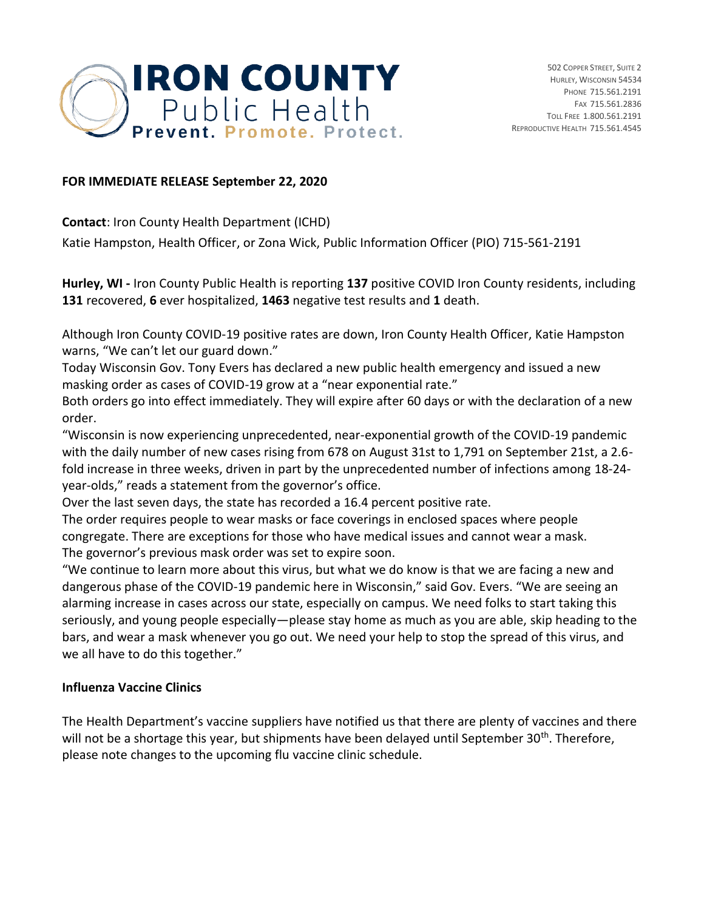

## **FOR IMMEDIATE RELEASE September 22, 2020**

**Contact**: Iron County Health Department (ICHD)

Katie Hampston, Health Officer, or Zona Wick, Public Information Officer (PIO) 715-561-2191

**Hurley, WI -** Iron County Public Health is reporting **137** positive COVID Iron County residents, including **131** recovered, **6** ever hospitalized, **1463** negative test results and **1** death.

Although Iron County COVID-19 positive rates are down, Iron County Health Officer, Katie Hampston warns, "We can't let our guard down."

Today Wisconsin Gov. Tony Evers has declared a new public health emergency and issued a new masking order as cases of COVID-19 grow at a "near exponential rate."

Both orders go into effect immediately. They will expire after 60 days or with the declaration of a new order.

"Wisconsin is now experiencing unprecedented, near-exponential growth of the COVID-19 pandemic with the daily number of new cases rising from 678 on August 31st to 1,791 on September 21st, a 2.6 fold increase in three weeks, driven in part by the unprecedented number of infections among 18-24 year-olds," reads a statement from the governor's office.

Over the last seven days, the state has recorded a 16.4 percent positive rate.

The order requires people to wear masks or face coverings in enclosed spaces where people congregate. There are exceptions for those who have medical issues and cannot wear a mask. The governor's previous mask order was set to expire soon.

"We continue to learn more about this virus, but what we do know is that we are facing a new and dangerous phase of the COVID-19 pandemic here in Wisconsin," said Gov. Evers. "We are seeing an alarming increase in cases across our state, especially on campus. We need folks to start taking this seriously, and young people especially—please stay home as much as you are able, skip heading to the bars, and wear a mask whenever you go out. We need your help to stop the spread of this virus, and we all have to do this together."

## **Influenza Vaccine Clinics**

The Health Department's vaccine suppliers have notified us that there are plenty of vaccines and there will not be a shortage this year, but shipments have been delayed until September 30<sup>th</sup>. Therefore, please note changes to the upcoming flu vaccine clinic schedule.